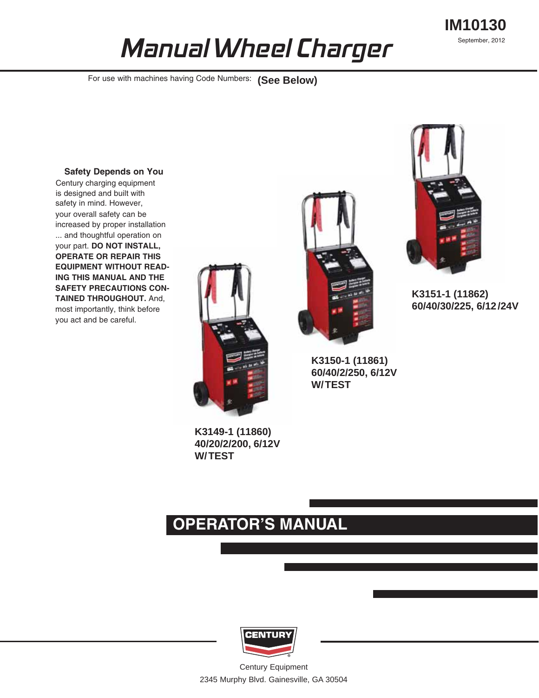# **IM10130** September, 2012



For use with machines having Code Numbers: (See Below)

#### **Safety Depends on You**

Century charging equipment is designed and built with safety in mind. However, your overall safety can be increased by proper installation ... and thoughtful operation on your part. **DO NOT INSTALL, OPERATE OR REPAIR THIS EQUIPMENT WITHOUT READ-ING THIS MANUAL AND THE SAFETY PRECAUTIONS CON-TAINED THROUGHOUT.** And, most importantly, think before you act and be careful.



**K3149-1 (11860) 40/20/2/200, 6/12V W/TEST**



**K3150-1 (11861) 60/40/2/250, 6/12V W/TEST**



**K3151-1 (11862) 60/40/30/225, 6/12/24V**

# **OPERATOR'S MANUAL**



Century Equipment 2345 Murphy Blvd. Gainesville, GA 30504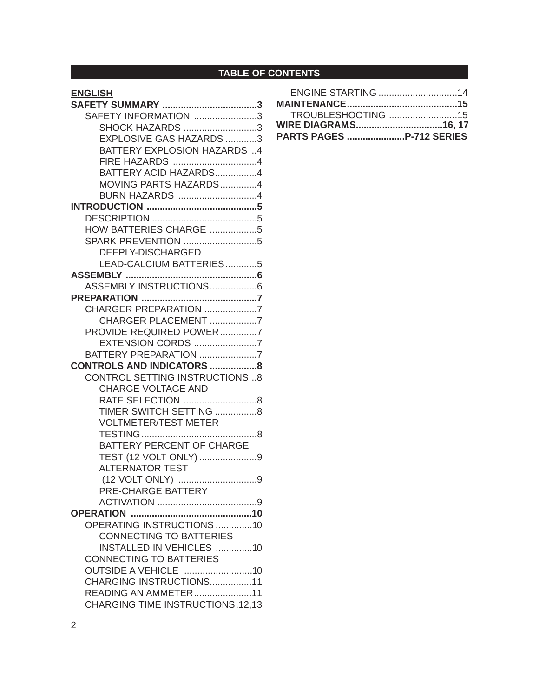# **TABLE OF CONTENTS**

# **ENGLISH**

| SAFETY INFORMATION 3                    |  |
|-----------------------------------------|--|
| SHOCK HAZARDS 3                         |  |
| EXPLOSIVE GAS HAZARDS 3                 |  |
| BATTERY EXPLOSION HAZARDS 4             |  |
| FIRE HAZARDS 4                          |  |
| BATTERY ACID HAZARDS4                   |  |
| MOVING PARTS HAZARDS4                   |  |
| BURN HAZARDS 4                          |  |
|                                         |  |
|                                         |  |
| HOW BATTERIES CHARGE 5                  |  |
| SPARK PREVENTION 5                      |  |
| DEEPLY-DISCHARGED                       |  |
| LEAD-CALCIUM BATTERIES5                 |  |
|                                         |  |
| ASSEMBLY INSTRUCTIONS6                  |  |
|                                         |  |
| CHARGER PREPARATION 7                   |  |
| CHARGER PLACEMENT 7                     |  |
| PROVIDE REQUIRED POWER7                 |  |
| EXTENSION CORDS 7                       |  |
| BATTERY PREPARATION 7                   |  |
| <b>CONTROLS AND INDICATORS 8</b>        |  |
| <b>CONTROL SETTING INSTRUCTIONS 8</b>   |  |
| <b>CHARGE VOLTAGE AND</b>               |  |
| RATE SELECTION 8                        |  |
| TIMER SWITCH SETTING 8                  |  |
| <b>VOLTMETER/TEST METER</b>             |  |
|                                         |  |
| BATTERY PERCENT OF CHARGE               |  |
| TEST (12 VOLT ONLY) 9                   |  |
| <b>ALTERNATOR TEST</b>                  |  |
|                                         |  |
| PRE-CHARGE BATTERY                      |  |
|                                         |  |
|                                         |  |
| OPERATING INSTRUCTIONS 10               |  |
| <b>CONNECTING TO BATTERIES</b>          |  |
| <b>INSTALLED IN VEHICLES 10</b>         |  |
| <b>CONNECTING TO BATTERIES</b>          |  |
| <b>OUTSIDE A VEHICLE 10</b>             |  |
| CHARGING INSTRUCTIONS11                 |  |
| READING AN AMMETER11                    |  |
| <b>CHARGING TIME INSTRUCTIONS.12.13</b> |  |

| <b>ENGINE STARTING 14</b>       |  |
|---------------------------------|--|
|                                 |  |
| TROUBLESHOOTING 15              |  |
| WIRE DIAGRAMS16, 17             |  |
| <b>PARTS PAGES P-712 SERIES</b> |  |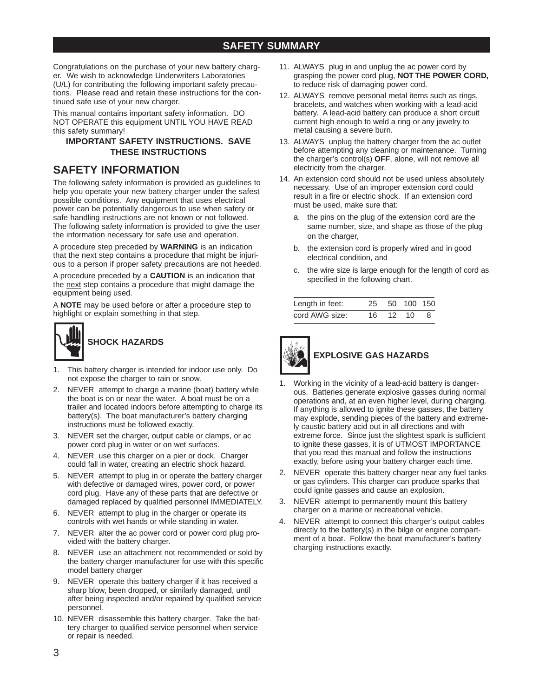Congratulations on the purchase of your new battery charger. We wish to acknowledge Underwriters Laboratories (U/L) for contributing the following important safety precautions. Please read and retain these instructions for the continued safe use of your new charger.

This manual contains important safety information. DO NOT OPERATE this equipment UNTIL YOU HAVE READ this safety summary!

### **IMPORTANT SAFETY INSTRUCTIONS. SAVE THESE INSTRUCTIONS**

## **SAFETY INFORMATION**

The following safety information is provided as guidelines to help you operate your new battery charger under the safest possible conditions. Any equipment that uses electrical power can be potentially dangerous to use when safety or safe handling instructions are not known or not followed. The following safety information is provided to give the user the information necessary for safe use and operation.

A procedure step preceded by **WARNING** is an indication that the next step contains a procedure that might be injurious to a person if proper safety precautions are not heeded.

A procedure preceded by a **CAUTION** is an indication that the next step contains a procedure that might damage the equipment being used.

A **NOTE** may be used before or after a procedure step to highlight or explain something in that step.



- 1. This battery charger is intended for indoor use only. Do not expose the charger to rain or snow.
- 2. NEVER attempt to charge a marine (boat) battery while the boat is on or near the water. A boat must be on a trailer and located indoors before attempting to charge its battery(s). The boat manufacturer's battery charging instructions must be followed exactly.
- 3. NEVER set the charger, output cable or clamps, or ac power cord plug in water or on wet surfaces.
- 4. NEVER use this charger on a pier or dock. Charger could fall in water, creating an electric shock hazard.
- 5. NEVER attempt to plug in or operate the battery charger with defective or damaged wires, power cord, or power cord plug. Have any of these parts that are defective or damaged replaced by qualified personnel IMMEDIATELY.
- 6. NEVER attempt to plug in the charger or operate its controls with wet hands or while standing in water.
- 7. NEVER alter the ac power cord or power cord plug provided with the battery charger.
- 8. NEVER use an attachment not recommended or sold by the battery charger manufacturer for use with this specific model battery charger
- 9. NEVER operate this battery charger if it has received a sharp blow, been dropped, or similarly damaged, until after being inspected and/or repaired by qualified service personnel.
- 10. NEVER disassemble this battery charger. Take the battery charger to qualified service personnel when service or repair is needed.
- 11. ALWAYS plug in and unplug the ac power cord by grasping the power cord plug, **NOT THE POWER CORD,** to reduce risk of damaging power cord.
- 12. ALWAYS remove personal metal items such as rings, bracelets, and watches when working with a lead-acid battery. A lead-acid battery can produce a short circuit current high enough to weld a ring or any jewelry to metal causing a severe burn.
- 13. ALWAYS unplug the battery charger from the ac outlet before attempting any cleaning or maintenance. Turning the charger's control(s) **OFF**, alone, will not remove all electricity from the charger.
- 14. An extension cord should not be used unless absolutely necessary. Use of an improper extension cord could result in a fire or electric shock. If an extension cord must be used, make sure that:
	- a. the pins on the plug of the extension cord are the same number, size, and shape as those of the plug on the charger,
	- b. the extension cord is properly wired and in good electrical condition, and
	- c. the wire size is large enough for the length of cord as specified in the following chart.

| Length in feet: |     | 25 50 100 150 |     |
|-----------------|-----|---------------|-----|
| cord AWG size:  | 16. | 12 10         | - 8 |



- 1. Working in the vicinity of a lead-acid battery is dangerous. Batteries generate explosive gasses during normal operations and, at an even higher level, during charging. If anything is allowed to ignite these gasses, the battery may explode, sending pieces of the battery and extremely caustic battery acid out in all directions and with extreme force. Since just the slightest spark is sufficient to ignite these gasses, it is of UTMOST IMPORTANCE that you read this manual and follow the instructions exactly, before using your battery charger each time.
- 2. NEVER operate this battery charger near any fuel tanks or gas cylinders. This charger can produce sparks that could ignite gasses and cause an explosion.
- 3. NEVER attempt to permanently mount this battery charger on a marine or recreational vehicle.
- 4. NEVER attempt to connect this charger's output cables directly to the battery(s) in the bilge or engine compartment of a boat. Follow the boat manufacturer's battery charging instructions exactly.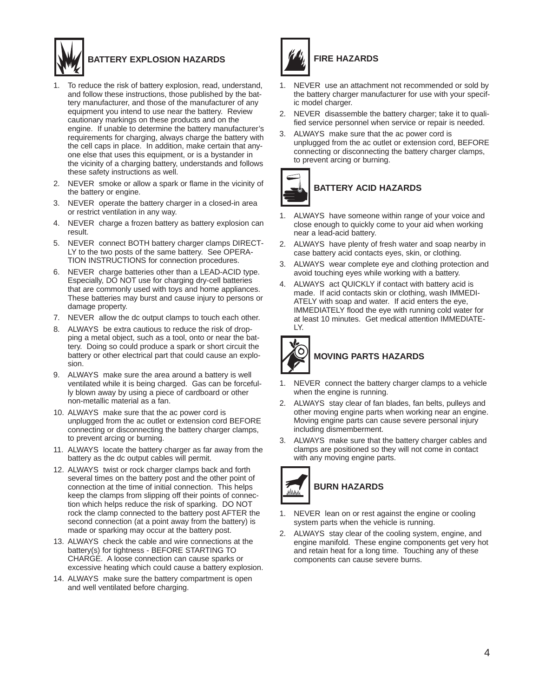

# **BATTERY EXPLOSION HAZARDS**

- 1. To reduce the risk of battery explosion, read, understand, and follow these instructions, those published by the battery manufacturer, and those of the manufacturer of any equipment you intend to use near the battery. Review cautionary markings on these products and on the engine. If unable to determine the battery manufacturer's requirements for charging, always charge the battery with the cell caps in place. In addition, make certain that anyone else that uses this equipment, or is a bystander in the vicinity of a charging battery, understands and follows these safety instructions as well.
- 2. NEVER smoke or allow a spark or flame in the vicinity of the battery or engine.
- 3. NEVER operate the battery charger in a closed-in area or restrict ventilation in any way.
- 4. NEVER charge a frozen battery as battery explosion can result.
- 5. NEVER connect BOTH battery charger clamps DIRECT-LY to the two posts of the same battery. See OPERA-TION INSTRUCTIONS for connection procedures.
- 6. NEVER charge batteries other than a LEAD-ACID type. Especially, DO NOT use for charging dry-cell batteries that are commonly used with toys and home appliances. These batteries may burst and cause injury to persons or damage property.
- 7. NEVER allow the dc output clamps to touch each other.
- 8. ALWAYS be extra cautious to reduce the risk of dropping a metal object, such as a tool, onto or near the battery. Doing so could produce a spark or short circuit the battery or other electrical part that could cause an explosion.
- 9. ALWAYS make sure the area around a battery is well ventilated while it is being charged. Gas can be forcefully blown away by using a piece of cardboard or other non-metallic material as a fan.
- 10. ALWAYS make sure that the ac power cord is unplugged from the ac outlet or extension cord BEFORE connecting or disconnecting the battery charger clamps, to prevent arcing or burning.
- 11. ALWAYS locate the battery charger as far away from the battery as the dc output cables will permit.
- 12. ALWAYS twist or rock charger clamps back and forth several times on the battery post and the other point of connection at the time of initial connection. This helps keep the clamps from slipping off their points of connection which helps reduce the risk of sparking. DO NOT rock the clamp connected to the battery post AFTER the second connection (at a point away from the battery) is made or sparking may occur at the battery post.
- 13. ALWAYS check the cable and wire connections at the battery(s) for tightness - BEFORE STARTING TO CHARGE. A loose connection can cause sparks or excessive heating which could cause a battery explosion.
- 14. ALWAYS make sure the battery compartment is open and well ventilated before charging.



# **FIRE HAZARDS**

- 1. NEVER use an attachment not recommended or sold by the battery charger manufacturer for use with your specific model charger.
- 2. NEVER disassemble the battery charger; take it to qualified service personnel when service or repair is needed.
- 3. ALWAYS make sure that the ac power cord is unplugged from the ac outlet or extension cord, BEFORE connecting or disconnecting the battery charger clamps, to prevent arcing or burning.



- 1. ALWAYS have someone within range of your voice and close enough to quickly come to your aid when working near a lead-acid battery.
- 2. ALWAYS have plenty of fresh water and soap nearby in case battery acid contacts eyes, skin, or clothing.
- 3. ALWAYS wear complete eye and clothing protection and avoid touching eyes while working with a battery.
- 4. ALWAYS act QUICKLY if contact with battery acid is made. If acid contacts skin or clothing, wash IMMEDI-ATELY with soap and water. If acid enters the eye, IMMEDIATELY flood the eye with running cold water for at least 10 minutes. Get medical attention IMMEDIATE-LY.



- 1. NEVER connect the battery charger clamps to a vehicle when the engine is running.
- 2. ALWAYS stay clear of fan blades, fan belts, pulleys and other moving engine parts when working near an engine. Moving engine parts can cause severe personal injury including dismemberment.
- 3. ALWAYS make sure that the battery charger cables and clamps are positioned so they will not come in contact with any moving engine parts.



- 1. NEVER lean on or rest against the engine or cooling system parts when the vehicle is running.
- 2. ALWAYS stay clear of the cooling system, engine, and engine manifold. These engine components get very hot and retain heat for a long time. Touching any of these components can cause severe burns.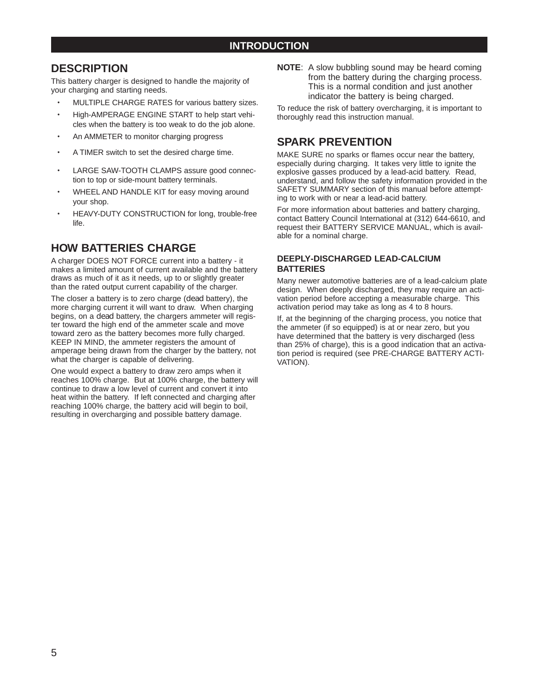## **INTRODUCTION**

## **DESCRIPTION**

This battery charger is designed to handle the majority of your charging and starting needs.

- MULTIPLE CHARGE RATES for various battery sizes.
- High-AMPERAGE ENGINE START to help start vehicles when the battery is too weak to do the job alone.
- An AMMETER to monitor charging progress
- A TIMER switch to set the desired charge time.
- LARGE SAW-TOOTH CLAMPS assure good connection to top or side-mount battery terminals.
- WHEEL AND HANDLE KIT for easy moving around your shop.
- HEAVY-DUTY CONSTRUCTION for long, trouble-free life.

# **HOW BATTERIES CHARGE**

A charger DOES NOT FORCE current into a battery - it makes a limited amount of current available and the battery draws as much of it as it needs, up to or slightly greater than the rated output current capability of the charger.

The closer a battery is to zero charge (*dead* battery), the more charging current it will want to draw. When charging begins, on a *dead* battery, the chargers ammeter will register toward the high end of the ammeter scale and move toward zero as the battery becomes more fully charged. KEEP IN MIND, the ammeter registers the amount of amperage being drawn from the charger by the battery, not what the charger is capable of delivering.

One would expect a battery to draw zero amps when it reaches 100% charge. But at 100% charge, the battery will continue to draw a low level of current and convert it into heat within the battery. If left connected and charging after reaching 100% charge, the battery acid will begin to boil, resulting in overcharging and possible battery damage.

**NOTE**: A slow bubbling sound may be heard coming from the battery during the charging process. This is a normal condition and just another indicator the battery is being charged.

To reduce the risk of battery overcharging, it is important to thoroughly read this instruction manual.

# **SPARK PREVENTION**

MAKE SURE no sparks or flames occur near the battery, especially during charging. It takes very little to ignite the explosive gasses produced by a lead-acid battery. Read, understand, and follow the safety information provided in the SAFETY SUMMARY section of this manual before attempting to work with or near a lead-acid battery.

For more information about batteries and battery charging, contact Battery Council International at (312) 644-6610, and request their BATTERY SERVICE MANUAL, which is available for a nominal charge.

### **DEEPLY-DISCHARGED LEAD-CALCIUM BATTERIES**

Many newer automotive batteries are of a lead-calcium plate design. When deeply discharged, they may require an activation period before accepting a measurable charge. This activation period may take as long as 4 to 8 hours.

If, at the beginning of the charging process, you notice that the ammeter (if so equipped) is at or near zero, but you have determined that the battery is very discharged (less than 25% of charge), this is a good indication that an activation period is required (see PRE-CHARGE BATTERY ACTI-VATION).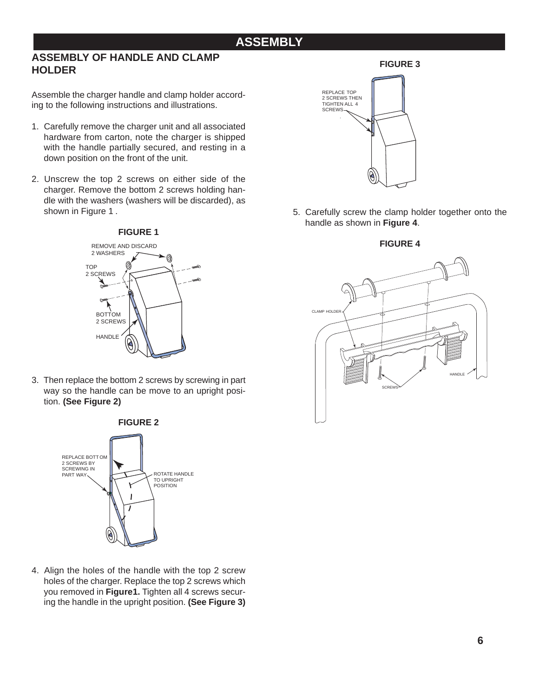# **ASSEMBLY**

## **ASSEMBLY OF HANDLE AND CLAMP HOLDER**

Assemble the charger handle and clamp holder according to the following instructions and illustrations.

- 1. Carefully remove the charger unit and all associated hardware from carton, note the charger is shipped with the handle partially secured, and resting in a down position on the front of the unit.
- 2. Unscrew the top 2 screws on either side of the charger. Remove the bottom 2 screws holding handle with the washers (washers will be discarded), as shown in Figure 1 .



3. Then replace the bottom 2 screws by screwing in part way so the handle can be move to an upright position. **(See Figure 2)**



4. Align the holes of the handle with the top 2 screw holes of the charger. Replace the top 2 screws which you removed in **Figure 1.** Tighten all 4 screws securing the handle in the upright position. **(See Figure 3)**

### **FIGURE 3**



5. Carefully screw the clamp holder together onto the handle as shown in **Figure 4**.

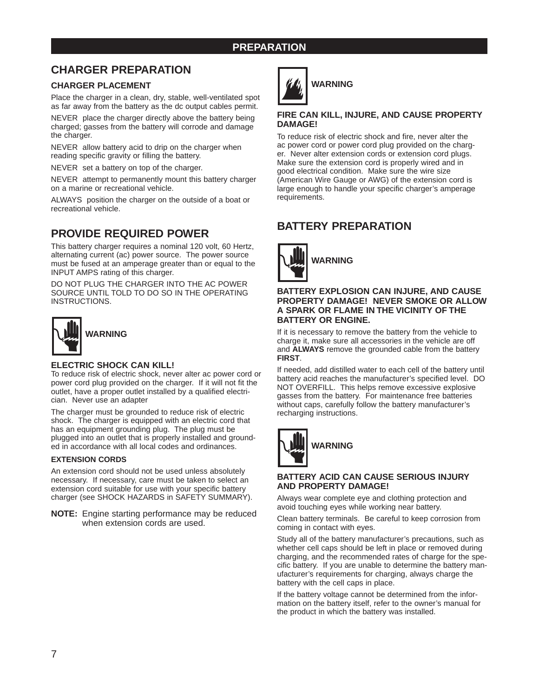### **PREPARATION**

# **CHARGER PREPARATION**

### **CHARGER PLACEMENT**

Place the charger in a clean, dry, stable, well-ventilated spot as far away from the battery as the dc output cables permit.

NEVER place the charger directly above the battery being charged; gasses from the battery will corrode and damage the charger.

NEVER allow battery acid to drip on the charger when reading specific gravity or filling the battery.

NEVER set a battery on top of the charger.

NEVER attempt to permanently mount this battery charger on a marine or recreational vehicle.

ALWAYS position the charger on the outside of a boat or recreational vehicle.

# **PROVIDE REQUIRED POWER**

This battery charger requires a nominal 120 volt, 60 Hertz, alternating current (ac) power source. The power source must be fused at an amperage greater than or equal to the INPUT AMPS rating of this charger.

DO NOT PLUG THE CHARGER INTO THE AC POWER SOURCE UNTIL TOLD TO DO SO IN THE OPERATING INSTRUCTIONS.



### **ELECTRIC SHOCK CAN KILL!**

To reduce risk of electric shock, never alter ac power cord or power cord plug provided on the charger. If it will not fit the outlet, have a proper outlet installed by a qualified electrician. Never use an adapter

The charger must be grounded to reduce risk of electric shock. The charger is equipped with an electric cord that has an equipment grounding plug. The plug must be plugged into an outlet that is properly installed and grounded in accordance with all local codes and ordinances.

#### **EXTENSION CORDS**

An extension cord should not be used unless absolutely necessary. If necessary, care must be taken to select an extension cord suitable for use with your specific battery charger (see SHOCK HAZARDS in SAFETY SUMMARY).

**NOTE:** Engine starting performance may be reduced when extension cords are used.



# **WARNING**

### **FIRE CAN KILL, INJURE, AND CAUSE PROPERTY DAMAGE!**

To reduce risk of electric shock and fire, never alter the ac power cord or power cord plug provided on the charger. Never alter extension cords or extension cord plugs. Make sure the extension cord is properly wired and in good electrical condition. Make sure the wire size (American Wire Gauge or AWG) of the extension cord is large enough to handle your specific charger's amperage requirements.

# **BATTERY PREPARATION**



#### **BATTERY EXPLOSION CAN INJURE, AND CAUSE PROPERTY DAMAGE! NEVER SMOKE OR ALLOW A SPARK OR FLAME IN THE VICINITY OF THE BATTERY OR ENGINE.**

If it is necessary to remove the battery from the vehicle to charge it, make sure all accessories in the vehicle are off and **ALWAYS** remove the grounded cable from the battery **FIRST**.

If needed, add distilled water to each cell of the battery until battery acid reaches the manufacturer's specified level. DO NOT OVERFILL. This helps remove excessive explosive gasses from the battery. For maintenance free batteries without caps, carefully follow the battery manufacturer's recharging instructions.



#### **BATTERY ACID CAN CAUSE SERIOUS INJURY AND PROPERTY DAMAGE!**

Always wear complete eye and clothing protection and avoid touching eyes while working near battery.

Clean battery terminals. Be careful to keep corrosion from coming in contact with eyes.

Study all of the battery manufacturer's precautions, such as whether cell caps should be left in place or removed during charging, and the recommended rates of charge for the specific battery. If you are unable to determine the battery manufacturer's requirements for charging, always charge the battery with the cell caps in place.

If the battery voltage cannot be determined from the information on the battery itself, refer to the owner's manual for the product in which the battery was installed.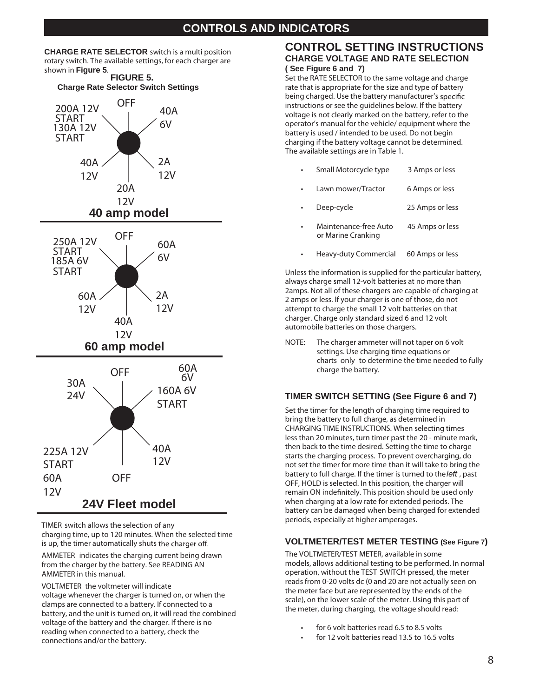# **CONTROLS AND INDICATORS**

**CHARGE RATE SELECTOR** switch is a multi position rotary switch. The available settings, for each charger are shown in **Figure 5**.



**TIMER** switch allows the selection of any charging time, up to 120 minutes. When the selected time is up, the timer automatically shuts the charger off.

**AMMETER** indicates the charging current being drawn from the charger by the battery. See READING AN AMMETER in this manual.

**VOLTMETER** the voltmeter will indicate voltage whenever the charger is turned on, or when the clamps are connected to a battery. If connected to a battery, and the unit is turned on, it will read the combined voltage of the battery and the charger. If there is no reading when connected to a battery, check the connections and/or the battery.

### **CONTROL SETTING INSTRUCTIONS CHARGE VOLTAGE AND RATE SELECTION ( See Figure 6 and 7)**

Set the RATE SELECTOR to the same voltage and charge rate that is appropriate for the size and type of battery being charged. Use the battery manufacturer's specific instructions or see the guidelines below. If the battery voltage is not clearly marked on the battery, refer to the operator's manual for the vehicle/ equipment where the battery is used / intended to be used. Do not begin charging if the battery voltage cannot be determined. The available settings are in Table 1.

| Small Motorcycle type | 3 Amps or less |
|-----------------------|----------------|
|                       |                |

- Lawn mower/Tractor 6 Amps or less
- Deep-cycle 25 Amps or less
- Maintenance-free Auto 45 Amps or less or Marine Cranking
- Heavy-duty Commercial 60 Amps or less

Unless the information is supplied for the particular battery, always charge small 12-volt batteries at no more than 2amps. Not all of these chargers are capable of charging at 2 amps or less. If your charger is one of those, do not attempt to charge the small 12 volt batteries on that charger. Charge only standard sized 6 and 12 volt automobile batteries on those chargers.

**NOTE:** The charger ammeter will not taper on 6 volt settings. Use charging time equations or charts **only** to determine the time needed to fully charge the battery.

### **TIMER SWITCH SETTING (See Figure 6 and 7)**

Set the timer for the length of charging time required to bring the battery to full charge, as determined in CHARGING TIME INSTRUCTIONS. When selecting times less than 20 minutes, turn timer past the 20 - minute mark, then back to the time desired. Setting the time to charge starts the charging process. To prevent overcharging, do not set the timer for more time than it will take to bring the battery to full charge. If the timer is turned to the *left* , past OFF, HOLD is selected. In this position, the charger will remain ON indefinitely. This position should be used only when charging at a low rate for extended periods. The battery can be damaged when being charged for extended periods, especially at higher amperages.

### **VOLTMETER/TEST METER TESTING (See Figure 7)**

The VOLTMETER/TEST METER, available in some models, allows additional testing to be performed. In normal operation, without the TEST SWITCH pressed, the meter reads from 0-20 volts dc (0 and 20 are not actually seen on the meter face but are represented by the ends of the scale), on the lower scale of the meter. Using this part of the meter, during charging, the voltage should read:

- for 6 volt batteries read 6.5 to 8.5 volts
- for 12 volt batteries read 13.5 to 16.5 volts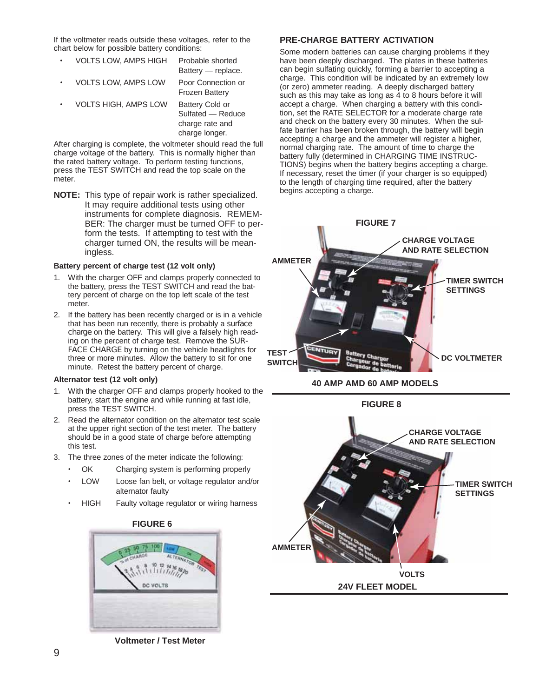If the voltmeter reads outside these voltages, refer to the chart below for possible battery conditions:

| <b>VOLTS LOW. AMPS HIGH</b> | Probable shorted<br>Battery - replace.                         |
|-----------------------------|----------------------------------------------------------------|
| <b>VOLTS LOW, AMPS LOW</b>  | Poor Connection or<br><b>Frozen Battery</b>                    |
| <b>VOLTS HIGH, AMPS LOW</b> | <b>Battery Cold or</b><br>Sulfated - Reduce<br>charge rate and |

After charging is complete, the voltmeter should read the full charge voltage of the battery. This is normally higher than the rated battery voltage. To perform testing functions, press the TEST SWITCH and read the top scale on the meter.

charge longer.

**NOTE:** This type of repair work is rather specialized. It may require additional tests using other instruments for complete diagnosis. REMEM-BER: The charger must be turned OFF to perform the tests. If attempting to test with the charger turned ON, the results will be meaningless.

#### **Battery percent of charge test (12 volt only)**

- 1. With the charger OFF and clamps properly connected to the battery, press the TEST SWITCH and read the battery percent of charge on the top left scale of the test meter.
- 2. If the battery has been recently charged or is in a vehicle that has been run recently, there is probably a *surface charge* on the battery. This will give a falsely high reading on the percent of charge test. Remove the *SUR-FACE CHARGE* by turning on the vehicle headlights for three or more minutes. Allow the battery to sit for one minute. Retest the battery percent of charge.

#### **Alternator test (12 volt only)**

- 1. With the charger OFF and clamps properly hooked to the battery, start the engine and while running at fast idle, press the TEST SWITCH.
- 2. Read the alternator condition on the alternator test scale at the upper right section of the test meter. The battery should be in a good state of charge before attempting this test.
- 3. The three zones of the meter indicate the following:
	- OK Charging system is performing properly
	- LOW Loose fan belt, or voltage regulator and/or alternator faulty
	- HIGH Faulty voltage regulator or wiring harness



### **FIGURE 6**

**Voltmeter / Test Meter**

#### **PRE-CHARGE BATTERY ACTIVATION**

Some modern batteries can cause charging problems if they have been deeply discharged. The plates in these batteries can begin sulfating quickly, forming a barrier to accepting a charge. This condition will be indicated by an extremely low (or zero) ammeter reading. A deeply discharged battery such as this may take as long as 4 to 8 hours before it will accept a charge. When charging a battery with this condition, set the RATE SELECTOR for a moderate charge rate and check on the battery every 30 minutes. When the sulfate barrier has been broken through, the battery will begin accepting a charge and the ammeter will register a higher, normal charging rate. The amount of time to charge the battery fully (determined in CHARGING TIME INSTRUC-TIONS) begins when the battery begins accepting a charge. If necessary, reset the timer (if your charger is so equipped) to the length of charging time required, after the battery begins accepting a charge.



**40 AMP AMD 60 AMP MODELS**

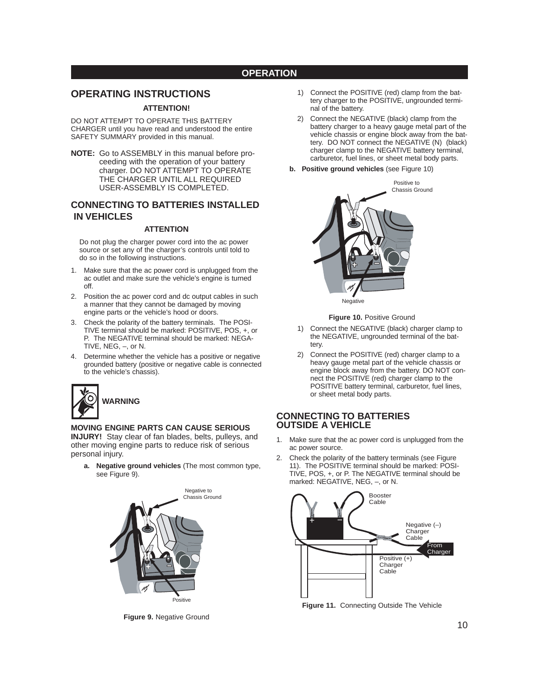### **OPERATION**

### **OPERATING INSTRUCTIONS**

#### **ATTENTION!**

DO NOT ATTEMPT TO OPERATE THIS BATTERY CHARGER until you have read and understood the entire SAFETY SUMMARY provided in this manual.

**NOTE:** Go to ASSEMBLY in this manual before proceeding with the operation of your battery charger. DO NOT ATTEMPT TO OPERATE THE CHARGER UNTIL ALL REQUIRED USER-ASSEMBLY IS COMPLETED.

### **CONNECTING TO BATTERIES INSTALLED IN VEHICLES**

#### **ATTENTION**

Do not plug the charger power cord into the ac power source or set any of the charger's controls until told to do so in the following instructions.

- 1. Make sure that the ac power cord is unplugged from the ac outlet and make sure the vehicle's engine is turned off.
- 2. Position the ac power cord and dc output cables in such a manner that they cannot be damaged by moving engine parts or the vehicle's hood or doors.
- 3. Check the polarity of the battery terminals. The POSI-TIVE terminal should be marked: POSITIVE, POS, +, or P. The NEGATIVE terminal should be marked: NEGA-TIVE, NEG, –, or N.
- 4. Determine whether the vehicle has a positive or negative grounded battery (positive or negative cable is connected to the vehicle's chassis).



#### **MOVING ENGINE PARTS CAN CAUSE SERIOUS INJURY!** Stay clear of fan blades, belts, pulleys, and

other moving engine parts to reduce risk of serious personal injury.

**a. Negative ground vehicles** (The most common type, see Figure 9).



**Figure 9.** Negative Ground

- 1) Connect the POSITIVE (red) clamp from the battery charger to the POSITIVE, ungrounded terminal of the battery.
- 2) Connect the NEGATIVE (black) clamp from the battery charger to a heavy gauge metal part of the vehicle chassis or engine block away from the battery. DO NOT connect the NEGATIVE (N) (black) charger clamp to the NEGATIVE battery terminal, carburetor, fuel lines, or sheet metal body parts.
- **b. Positive ground vehicles** (see Figure 10)



#### **Figure 10.** Positive Ground

- 1) Connect the NEGATIVE (black) charger clamp to the NEGATIVE, ungrounded terminal of the battery.
- 2) Connect the POSITIVE (red) charger clamp to a heavy gauge metal part of the vehicle chassis or engine block away from the battery. DO NOT connect the POSITIVE (red) charger clamp to the POSITIVE battery terminal, carburetor, fuel lines, or sheet metal body parts.

### **CONNECTING TO BATTERIES OUTSIDE A VEHICLE**

- Make sure that the ac power cord is unplugged from the ac power source.
- 2. Check the polarity of the battery terminals (see Figure 11). The POSITIVE terminal should be marked: POSI-TIVE, POS, +, or P. The NEGATIVE terminal should be marked: NEGATIVE, NEG, –, or N.



**Figure 11.** Connecting Outside The Vehicle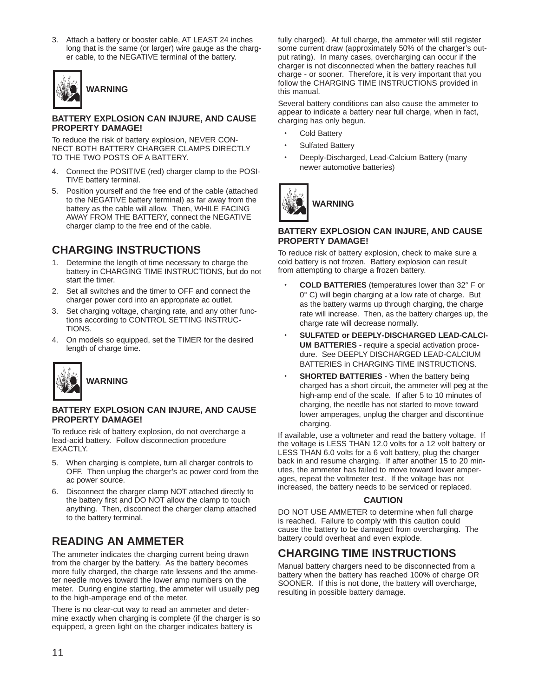3. Attach a battery or booster cable, AT LEAST 24 inches long that is the same (or larger) wire gauge as the charger cable, to the NEGATIVE terminal of the battery.



#### **BATTERY EXPLOSION CAN INJURE, AND CAUSE PROPERTY DAMAGE!**

To reduce the risk of battery explosion, NEVER CON-NECT BOTH BATTERY CHARGER CLAMPS DIRECTLY TO THE TWO POSTS OF A BATTERY.

- 4. Connect the POSITIVE (red) charger clamp to the POSI-TIVE battery terminal.
- 5. Position yourself and the free end of the cable (attached to the NEGATIVE battery terminal) as far away from the battery as the cable will allow. Then, WHILE FACING AWAY FROM THE BATTERY, connect the NEGATIVE charger clamp to the free end of the cable.

# **CHARGING INSTRUCTIONS**

- 1. Determine the length of time necessary to charge the battery in CHARGING TIME INSTRUCTIONS, but do not start the timer.
- 2. Set all switches and the timer to OFF and connect the charger power cord into an appropriate ac outlet.
- 3. Set charging voltage, charging rate, and any other functions according to CONTROL SETTING INSTRUC-TIONS.
- 4. On models so equipped, set the TIMER for the desired length of charge time.



#### **BATTERY EXPLOSION CAN INJURE, AND CAUSE PROPERTY DAMAGE!**

To reduce risk of battery explosion, do not overcharge a lead-acid battery. Follow disconnection procedure EXACTLY.

- 5. When charging is complete, turn all charger controls to OFF. Then unplug the charger's ac power cord from the ac power source.
- 6. Disconnect the charger clamp NOT attached directly to the battery first and DO NOT allow the clamp to touch anything. Then, disconnect the charger clamp attached to the battery terminal.

# **READING AN AMMETER**

The ammeter indicates the charging current being drawn from the charger by the battery. As the battery becomes more fully charged, the charge rate lessens and the ammeter needle moves toward the lower amp numbers on the meter. During engine starting, the ammeter will usually *peg* to the high-amperage end of the meter.

There is no clear-cut way to read an ammeter and determine exactly when charging is complete (if the charger is so equipped, a green light on the charger indicates battery is

fully charged). At full charge, the ammeter will still register some current draw (approximately 50% of the charger's output rating). In many cases, overcharging can occur if the charger is not disconnected when the battery reaches full charge - or sooner. Therefore, it is very important that you follow the CHARGING TIME INSTRUCTIONS provided in this manual.

Several battery conditions can also cause the ammeter to appear to indicate a battery near full charge, when in fact, charging has only begun.

- Cold Battery
- Sulfated Battery
- Deeply-Discharged, Lead-Calcium Battery (many newer automotive batteries)



#### **BATTERY EXPLOSION CAN INJURE, AND CAUSE PROPERTY DAMAGE!**

To reduce risk of battery explosion, check to make sure a cold battery is not frozen. Battery explosion can result from attempting to charge a frozen battery.

- **COLD BATTERIES** (temperatures lower than 32° F or 0° C) will begin charging at a low rate of charge. But as the battery warms up through charging, the charge rate will increase. Then, as the battery charges up, the charge rate will decrease normally.
- **SULFATED or DEEPLY-DISCHARGED LEAD-CALCI-UM BATTERIES** - require a special activation procedure. See DEEPLY DISCHARGED LEAD-CALCIUM BATTERIES in CHARGING TIME INSTRUCTIONS.
- **SHORTED BATTERIES** When the battery being charged has a short circuit, the ammeter will *peg* at the high-amp end of the scale. If after 5 to 10 minutes of charging, the needle has not started to move toward lower amperages, unplug the charger and discontinue charging.

If available, use a voltmeter and read the battery voltage. If the voltage is LESS THAN 12.0 volts for a 12 volt battery or LESS THAN 6.0 volts for a 6 volt battery, plug the charger back in and resume charging. If after another 15 to 20 minutes, the ammeter has failed to move toward lower amperages, repeat the voltmeter test. If the voltage has not increased, the battery needs to be serviced or replaced.

### **CAUTION**

DO NOT USE AMMETER to determine when full charge is reached. Failure to comply with this caution could cause the battery to be damaged from overcharging. The battery could overheat and even explode.

# **CHARGING TIME INSTRUCTIONS**

Manual battery chargers need to be disconnected from a battery when the battery has reached 100% of charge OR SOONER. If this is not done, the battery will overcharge, resulting in possible battery damage.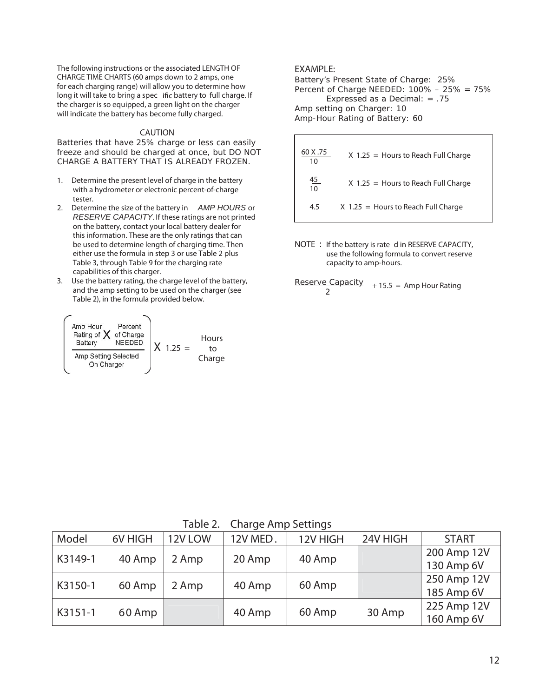The following instructions or the associated LENGTH OF CHARGE TIME CHARTS (60 amps down to 2 amps, one for each charging range) will allow you to determine how long it will take to bring a spec ific battery to full charge. If the charger is so equipped, a green light on the charger will indicate the battery has become fully charged.

#### **CAUTION**

Batteries that have 25% charge or less can easily freeze and should be charged at once, but DO NOT CHARGE A BATTERY THAT IS ALREADY FROZEN.

- 1. Determine the present level of charge in the battery with a hydrometer or electronic percent-of-charge tester.
- 2. Determine the size of the battery in *AMP HOURS* or *RESERVE CAPACITY*. If these ratings are not printed on the battery, contact your local battery dealer for this information. These are the only ratings that can be used to determine length of charging time. Then either use the formula in step 3 or use Table 2 plus Table 3, through Table 9 for the charging rate capabilities of this charger.
- 3. Use the battery rating, the charge level of the battery, and the amp setting to be used on the charger (see Table 2), in the formula provided below.

X 1.25 = Hours to Charge

### **EXAMPLE:**

Battery's Present State of Charge: 25% Percent of Charge NEEDED: 100% – 25% = 75% Expressed as a Decimal: = .75 Amp setting on Charger: 10 Amp-Hour Rating of Battery: 60

| 60 X .75<br>10  | $X$ 1.25 = Hours to Reach Full Charge |
|-----------------|---------------------------------------|
| $\frac{45}{10}$ | $X$ 1.25 = Hours to Reach Full Charge |
| 4.5             | $X$ 1.25 = Hours to Reach Full Charge |

**NOTE** : If the battery is rate d in RESERVE CAPACITY, use the following formula to convert reserve capacity to amp-hours.

Reserve Capacity Reserve Capacity + 15.5 = Amp Hour Rating<br>2

| Table 2. Charge Amp Settings |
|------------------------------|
|                              |

| Model   | 6V HIGH | 12V LOW | 12V MED. | 12V HIGH | 24V HIGH | <b>START</b> |
|---------|---------|---------|----------|----------|----------|--------------|
| K3149-1 |         |         |          |          |          | 200 Amp 12V  |
|         | 40 Amp  | 2 Amp   | 20 Amp   | 40 Amp   |          | 130 Amp 6V   |
| K3150-1 |         |         |          | 60 Amp   |          | 250 Amp 12V  |
|         | 60 Amp  | 2 Amp   | 40 Amp   |          |          | 185 Amp 6V   |
| K3151-1 |         |         |          |          |          | 225 Amp 12V  |
|         | 60 Amp  |         | 40 Amp   | 60 Amp   | 30 Amp   | 160 Amp 6V   |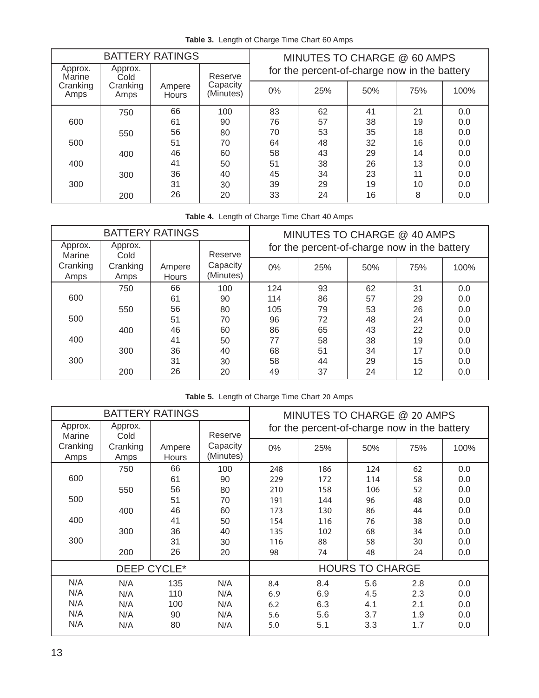|                   | <b>BATTERY RATINGS</b> |                        |                       |                                              | MINUTES TO CHARGE @ 60 AMPS |     |     |      |
|-------------------|------------------------|------------------------|-----------------------|----------------------------------------------|-----------------------------|-----|-----|------|
| Approx.<br>Marine | Approx.<br>Cold        |                        | Reserve               | for the percent-of-charge now in the battery |                             |     |     |      |
| Cranking<br>Amps  | Cranking<br>Amps       | Ampere<br><b>Hours</b> | Capacity<br>(Minutes) | $0\%$                                        | 25%                         | 50% | 75% | 100% |
|                   | 750                    | 66                     | 100                   | 83                                           | 62                          | 41  | 21  | 0.0  |
| 600               |                        | 61                     | 90                    | 76                                           | 57                          | 38  | 19  | 0.0  |
|                   | 550                    | 56                     | 80                    | 70                                           | 53                          | 35  | 18  | 0.0  |
| 500               |                        | 51                     | 70                    | 64                                           | 48                          | 32  | 16  | 0.0  |
|                   | 400                    | 46                     | 60                    | 58                                           | 43                          | 29  | 14  | 0.0  |
| 400               |                        | 41                     | 50                    | 51                                           | 38                          | 26  | 13  | 0.0  |
|                   | 300                    | 36                     | 40                    | 45                                           | 34                          | 23  | 11  | 0.0  |
| 300               |                        | 31                     | 30                    | 39                                           | 29                          | 19  | 10  | 0.0  |
|                   | 200                    | 26                     | 20                    | 33                                           | 24                          | 16  | 8   | 0.0  |

**Table 3.** Length of Charge Time Chart 60 Amps

**Table 4.** Length of Charge Time Chart 40 Amps

|                   |                          | <b>BATTERY RATINGS</b> |                       |     | MINUTES TO CHARGE @ 40 AMPS                  |     |     |      |
|-------------------|--------------------------|------------------------|-----------------------|-----|----------------------------------------------|-----|-----|------|
| Approx.<br>Marine | Approx.                  |                        | Reserve               |     | for the percent-of-charge now in the battery |     |     |      |
| Cranking<br>Amps  | Cold<br>Cranking<br>Amps | Ampere<br>Hours        | Capacity<br>(Minutes) | 0%  | 25%                                          | 50% | 75% | 100% |
|                   | 750                      | 66                     | 100                   | 124 | 93                                           | 62  | 31  | 0.0  |
| 600               |                          | 61                     | 90                    | 114 | 86                                           | 57  | 29  | 0.0  |
|                   | 550                      | 56                     | 80                    | 105 | 79                                           | 53  | 26  | 0.0  |
| 500               |                          | 51                     | 70                    | 96  | 72                                           | 48  | 24  | 0.0  |
|                   | 400                      | 46                     | 60                    | 86  | 65                                           | 43  | 22  | 0.0  |
| 400               |                          | 41                     | 50                    | 77  | 58                                           | 38  | 19  | 0.0  |
|                   | 300                      | 36                     | 40                    | 68  | 51                                           | 34  | 17  | 0.0  |
| 300               |                          | 31                     | 30                    | 58  | 44                                           | 29  | 15  | 0.0  |
|                   | 200                      | 26                     | 20                    | 49  | 37                                           | 24  | 12  | 0.0  |

|  |  | Table 5. Length of Charge Time Chart 20 Amps |  |  |  |  |
|--|--|----------------------------------------------|--|--|--|--|
|--|--|----------------------------------------------|--|--|--|--|

|                   | <b>BATTERY RATINGS</b> |                        |                       |                                              | MINUTES TO CHARGE @ 20 AMPS |                        |     |      |
|-------------------|------------------------|------------------------|-----------------------|----------------------------------------------|-----------------------------|------------------------|-----|------|
| Approx.<br>Marine | Approx.<br>Cold        |                        | Reserve               | for the percent-of-charge now in the battery |                             |                        |     |      |
| Cranking<br>Amps  | Cranking<br>Amps       | Ampere<br><b>Hours</b> | Capacity<br>(Minutes) | $0\%$                                        | 25%                         | 50%                    | 75% | 100% |
|                   | 750                    | 66                     | 100                   | 248                                          | 186                         | 124                    | 62  | 0.0  |
| 600               |                        | 61                     | 90                    | 229                                          | 172                         | 114                    | 58  | 0.0  |
|                   | 550                    | 56                     | 80                    | 210                                          | 158                         | 106                    | 52  | 0.0  |
| 500               |                        | 51                     | 70                    | 191                                          | 144                         | 96                     | 48  | 0.0  |
|                   | 400                    | 46                     | 60                    | 173                                          | 130                         | 86                     | 44  | 0.0  |
| 400               |                        | 41                     | 50                    | 154                                          | 116                         | 76                     | 38  | 0.0  |
|                   | 300                    | 36                     | 40                    | 135                                          | 102                         | 68                     | 34  | 0.0  |
| 300               |                        | 31                     | 30                    | 116                                          | 88                          | 58                     | 30  | 0.0  |
|                   | 200                    | 26                     | 20                    | 98                                           | 74                          | 48                     | 24  | 0.0  |
|                   |                        | DEEP CYCLE*            |                       |                                              |                             | <b>HOURS TO CHARGE</b> |     |      |
| N/A               | N/A                    | 135                    | N/A                   | 8.4                                          | 8.4                         | 5.6                    | 2.8 | 0.0  |
| N/A               | N/A                    | 110                    | N/A                   | 6.9                                          | 6.9                         | 4.5                    | 2.3 | 0.0  |
| N/A               | N/A                    | 100                    | N/A                   | 6.2                                          | 6.3                         | 4.1                    | 2.1 | 0.0  |
| N/A               | N/A                    | 90                     | N/A                   | 5.6                                          | 5.6                         | 3.7                    | 1.9 | 0.0  |
| N/A               | N/A                    | 80                     | N/A                   | 5.0                                          | 5.1                         | 3.3                    | 1.7 | 0.0  |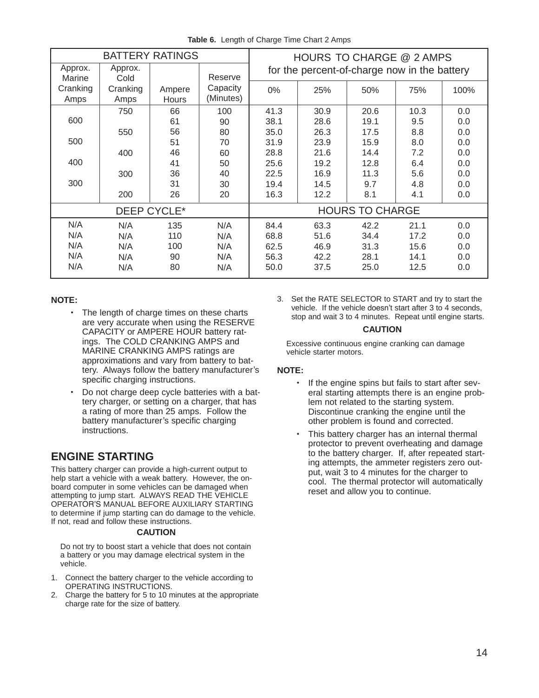|  | Table 6. Length of Charge Time Chart 2 Amps |  |  |  |  |
|--|---------------------------------------------|--|--|--|--|
|--|---------------------------------------------|--|--|--|--|

| <b>BATTERY RATINGS</b>     |                          |                        | HOURS TO CHARGE @ 2 AMPS |                                              |      |      |      |      |  |
|----------------------------|--------------------------|------------------------|--------------------------|----------------------------------------------|------|------|------|------|--|
| Approx.                    | Approx.                  |                        | Reserve                  | for the percent-of-charge now in the battery |      |      |      |      |  |
| Marine<br>Cranking<br>Amps | Cold<br>Cranking<br>Amps | Ampere<br><b>Hours</b> | Capacity<br>(Minutes)    | $0\%$                                        | 25%  | 50%  | 75%  | 100% |  |
|                            | 750                      | 66                     | 100                      | 41.3                                         | 30.9 | 20.6 | 10.3 | 0.0  |  |
| 600                        |                          | 61                     | 90                       | 38.1                                         | 28.6 | 19.1 | 9.5  | 0.0  |  |
|                            | 550                      | 56                     | 80                       | 35.0                                         | 26.3 | 17.5 | 8.8  | 0.0  |  |
| 500                        |                          | 51                     | 70                       | 31.9                                         | 23.9 | 15.9 | 8.0  | 0.0  |  |
|                            | 400                      | 46                     | 60                       | 28.8                                         | 21.6 | 14.4 | 7.2  | 0.0  |  |
| 400                        |                          | 41                     | 50                       | 25.6                                         | 19.2 | 12.8 | 6.4  | 0.0  |  |
|                            | 300                      | 36                     | 40                       | 22.5                                         | 16.9 | 11.3 | 5.6  | 0.0  |  |
| 300                        |                          | 31                     | 30                       | 19.4                                         | 14.5 | 9.7  | 4.8  | 0.0  |  |
|                            | 200                      | 26                     | 20                       | 16.3                                         | 12.2 | 8.1  | 4.1  | 0.0  |  |
| DEEP CYCLE*                |                          |                        | <b>HOURS TO CHARGE</b>   |                                              |      |      |      |      |  |
| N/A                        | N/A                      | 135                    | N/A                      | 84.4                                         | 63.3 | 42.2 | 21.1 | 0.0  |  |
| N/A                        | N/A                      | 110                    | N/A                      | 68.8                                         | 51.6 | 34.4 | 17.2 | 0.0  |  |
| N/A                        | N/A                      | 100                    | N/A                      | 62.5                                         | 46.9 | 31.3 | 15.6 | 0.0  |  |
| N/A                        | N/A                      | 90                     | N/A                      | 56.3                                         | 42.2 | 28.1 | 14.1 | 0.0  |  |
| N/A                        | N/A                      | 80                     | N/A                      | 50.0                                         | 37.5 | 25.0 | 12.5 | 0.0  |  |

### **NOTE:**

- The length of charge times on these charts are very accurate when using the RESERVE CAPACITY or AMPERE HOUR battery ratings. The COLD CRANKING AMPS and MARINE CRANKING AMPS ratings are approximations and vary from battery to battery. Always follow the battery manufacturer's specific charging instructions.
- Do not charge deep cycle batteries with a battery charger, or setting on a charger, that has a rating of more than 25 amps. Follow the battery manufacturer's specific charging instructions.

# **ENGINE STARTING**

This battery charger can provide a high-current output to help start a vehicle with a weak battery. However, the onboard computer in some vehicles can be damaged when attempting to jump start. ALWAYS READ THE VEHICLE OPERATOR'S MANUAL BEFORE AUXILIARY STARTING to determine if jump starting can do damage to the vehicle. If not, read and follow these instructions.

#### **CAUTION**

Do not try to boost start a vehicle that does not contain a battery or you may damage electrical system in the vehicle.

- 1. Connect the battery charger to the vehicle according to OPERATING INSTRUCTIONS.
- 2. Charge the battery for 5 to 10 minutes at the appropriate charge rate for the size of battery.

3. Set the RATE SELECTOR to START and try to start the vehicle. If the vehicle doesn't start after 3 to 4 seconds, stop and wait 3 to 4 minutes. Repeat until engine starts.

#### **CAUTION**

Excessive continuous engine cranking can damage vehicle starter motors.

### **NOTE:**

- If the engine spins but fails to start after several starting attempts there is an engine problem not related to the starting system. Discontinue cranking the engine until the other problem is found and corrected.
- This battery charger has an internal thermal protector to prevent overheating and damage to the battery charger. If, after repeated starting attempts, the ammeter registers zero output, wait 3 to 4 minutes for the charger to cool. The thermal protector will automatically reset and allow you to continue.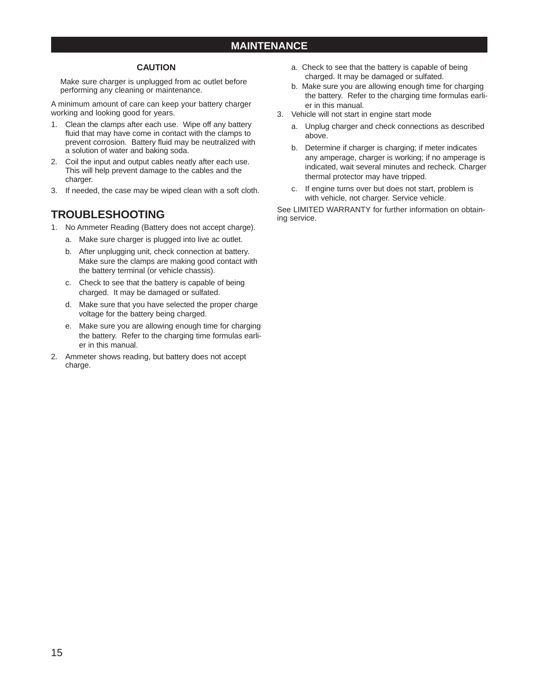## **MAINTENANCE**

### **CAUTION**

Make sure charger is unplugged from ac outlet before performing any cleaning or maintenance.

A minimum amount of care can keep your battery charger working and looking good for years.

- 1. Clean the clamps after each use. Wipe off any battery fluid that may have come in contact with the clamps to prevent corrosion. Battery fluid may be neutralized with a solution of water and baking soda.
- 2. Coil the input and output cables neatly after each use. This will help prevent damage to the cables and the charger.
- 3. If needed, the case may be wiped clean with a soft cloth.

# **TROUBLESHOOTING**

- 1. No Ammeter Reading (Battery does not accept charge).
	- a. Make sure charger is plugged into live ac outlet.
	- b. After unplugging unit, check connection at battery. Make sure the clamps are making good contact with the battery terminal (or vehicle chassis).
	- c. Check to see that the battery is capable of being charged. It may be damaged or sulfated.
	- d. Make sure that you have selected the proper charge voltage for the battery being charged.
	- e. Make sure you are allowing enough time for charging the battery. Refer to the charging time formulas earlier in this manual.
- 2. Ammeter shows reading, but battery does not accept charge.
- a. Check to see that the battery is capable of being charged. It may be damaged or sulfated.
- b. Make sure you are allowing enough time for charging the battery. Refer to the charging time formulas earlier in this manual.
- 3. Vehicle will not start in engine start mode
	- a. Unplug charger and check connections as described above.
	- b. Determine if charger is charging; if meter indicates any amperage, charger is working; if no amperage is indicated, wait several minutes and recheck. Charger thermal protector may have tripped.
	- c. If engine turns over but does not start, problem is with vehicle, not charger. Service vehicle.

See LIMITED WARRANTY for further information on obtaining service.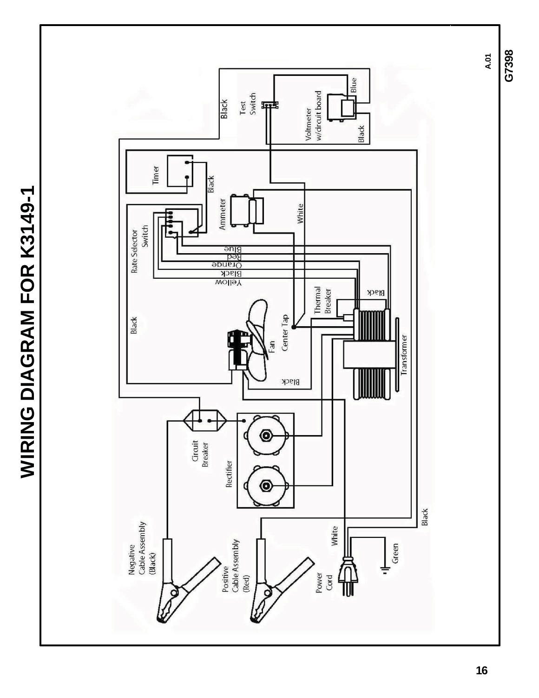**A.01 Blue** Voltmeter<br>w/circuit board Test<br>Switch Black 甲 Black Timer Black **WIRING DIAGRAM FOR K3149-1 WIRING DIAGRAM FOR K3149-1**Ammeter White Switch Rate Selector Blue<br>Orange<br>Orange<br>Black<br>Blow Thermal<br>Breaker Black Center Tap Black Transformer me. Black Θ Circuit<br>Breaker Rectifier O Black Negative<br>Cable Assembly White Positive<br>Cable Assembly  $\frac{1}{\frac{1}{\text{Green}}}$ (Black) Power<br>Cord ₩ (Red) Q

**G7398**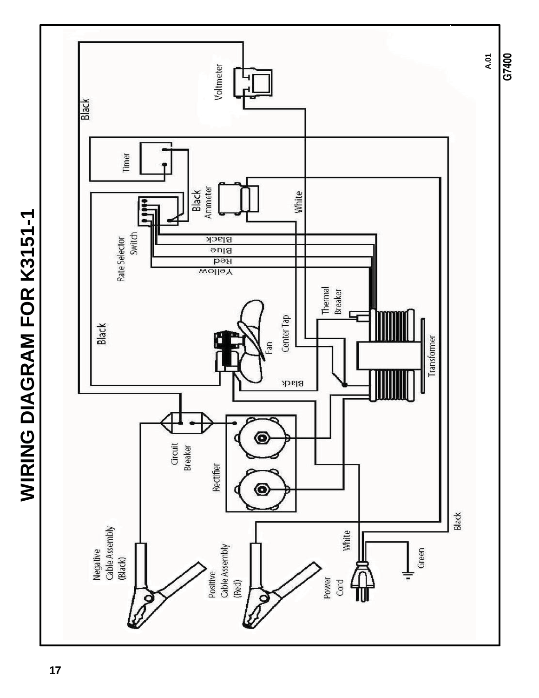